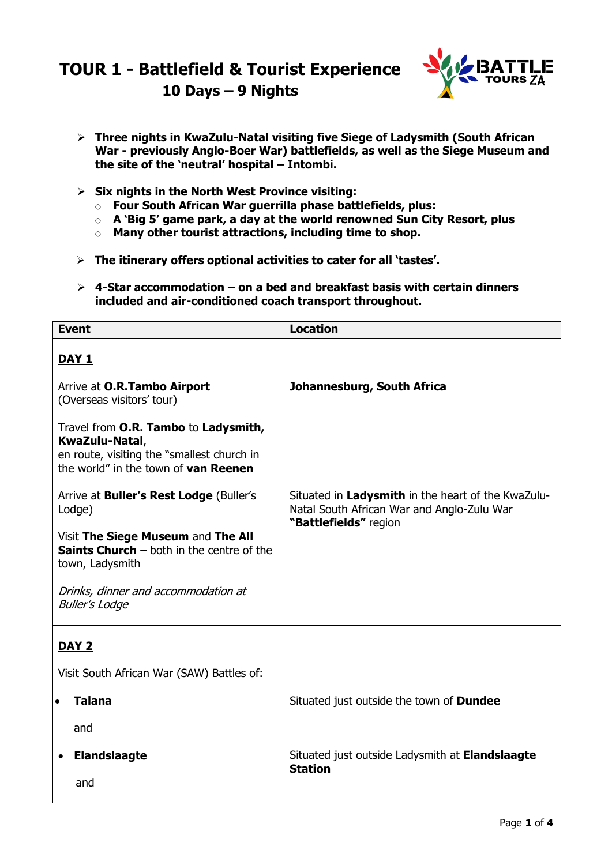## **TOUR 1 - Battlefield & Tourist Experience 10 Days – 9 Nights**



- **Three nights in KwaZulu-Natal visiting five Siege of Ladysmith (South African War - previously Anglo-Boer War) battlefields, as well as the Siege Museum and the site of the 'neutral' hospital – Intombi.**
- **Six nights in the North West Province visiting:**
	- o **Four South African War guerrilla phase battlefields, plus:**
	- o **A 'Big 5' game park, a day at the world renowned Sun City Resort, plus**
	- o **Many other tourist attractions, including time to shop.**
- **The itinerary offers optional activities to cater for all 'tastes'.**
- **4-Star accommodation – on a bed and breakfast basis with certain dinners included and air-conditioned coach transport throughout.**

| <b>Event</b>                                                                                                                                 | <b>Location</b>                                                                                  |
|----------------------------------------------------------------------------------------------------------------------------------------------|--------------------------------------------------------------------------------------------------|
| <u>DAY 1</u>                                                                                                                                 |                                                                                                  |
| Arrive at O.R.Tambo Airport<br>(Overseas visitors' tour)                                                                                     | Johannesburg, South Africa                                                                       |
| Travel from O.R. Tambo to Ladysmith,<br>KwaZulu-Natal,<br>en route, visiting the "smallest church in<br>the world" in the town of van Reenen |                                                                                                  |
| Arrive at <b>Buller's Rest Lodge</b> (Buller's<br>Lodge)                                                                                     | Situated in Ladysmith in the heart of the KwaZulu-<br>Natal South African War and Anglo-Zulu War |
| Visit The Siege Museum and The All<br><b>Saints Church</b> $-$ both in the centre of the<br>town, Ladysmith                                  | "Battlefields" region                                                                            |
| Drinks, dinner and accommodation at<br><b>Buller's Lodge</b>                                                                                 |                                                                                                  |
| <b>DAY 2</b>                                                                                                                                 |                                                                                                  |
| Visit South African War (SAW) Battles of:                                                                                                    |                                                                                                  |
| <b>Talana</b><br>$\bullet$                                                                                                                   | Situated just outside the town of <b>Dundee</b>                                                  |
| and                                                                                                                                          |                                                                                                  |
| <b>Elandslaagte</b>                                                                                                                          | Situated just outside Ladysmith at Elandslaagte<br><b>Station</b>                                |
| and                                                                                                                                          |                                                                                                  |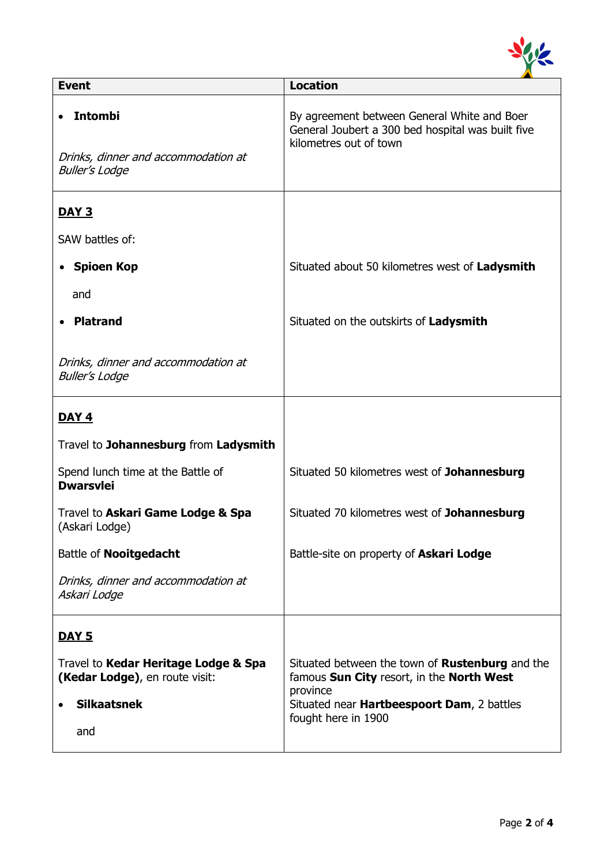

| <b>Event</b>                                                                                 | <b>Location</b>                                                                                                            |
|----------------------------------------------------------------------------------------------|----------------------------------------------------------------------------------------------------------------------------|
| <b>Intombi</b><br>Drinks, dinner and accommodation at<br><b>Buller's Lodge</b>               | By agreement between General White and Boer<br>General Joubert a 300 bed hospital was built five<br>kilometres out of town |
| <u>DAY 3</u>                                                                                 |                                                                                                                            |
| SAW battles of:                                                                              |                                                                                                                            |
| <b>Spioen Kop</b>                                                                            | Situated about 50 kilometres west of Ladysmith                                                                             |
| and                                                                                          |                                                                                                                            |
| <b>Platrand</b>                                                                              | Situated on the outskirts of Ladysmith                                                                                     |
| Drinks, dinner and accommodation at<br><b>Buller's Lodge</b>                                 |                                                                                                                            |
| <b>DAY 4</b>                                                                                 |                                                                                                                            |
| Travel to Johannesburg from Ladysmith                                                        |                                                                                                                            |
| Spend lunch time at the Battle of<br><b>Dwarsvlei</b>                                        | Situated 50 kilometres west of Johannesburg                                                                                |
| Travel to Askari Game Lodge & Spa<br>(Askari Lodge)                                          | Situated 70 kilometres west of Johannesburg                                                                                |
| Battle of Nooitgedacht                                                                       | Battle-site on property of Askari Lodge                                                                                    |
| Drinks, dinner and accommodation at<br>Askari Lodge                                          |                                                                                                                            |
| <u>DAY 5</u>                                                                                 |                                                                                                                            |
| Travel to Kedar Heritage Lodge & Spa<br>(Kedar Lodge), en route visit:<br><b>Silkaatsnek</b> | Situated between the town of <b>Rustenburg</b> and the<br>famous Sun City resort, in the North West<br>province            |
| and                                                                                          | Situated near Hartbeespoort Dam, 2 battles<br>fought here in 1900                                                          |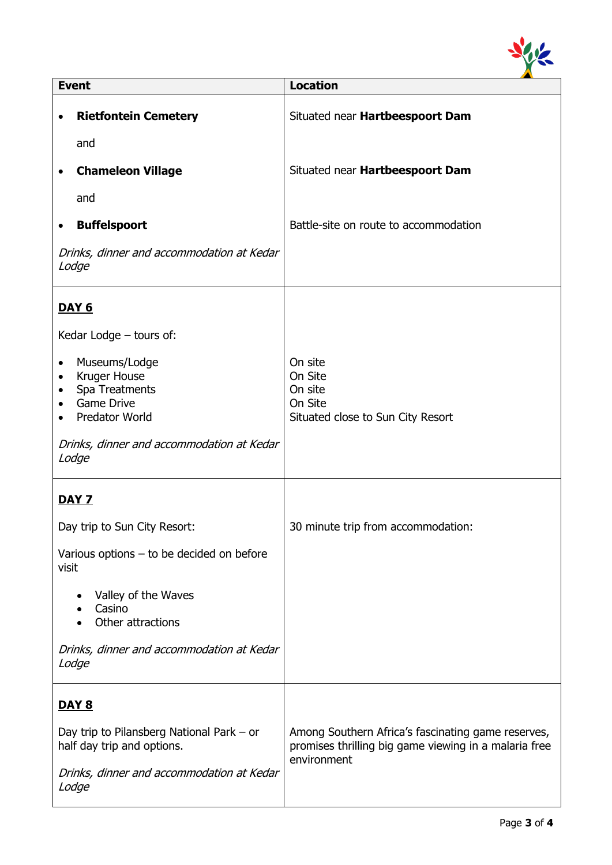

| <b>Event</b>        |                                                                                        | <b>Location</b>                                                                                                            |  |
|---------------------|----------------------------------------------------------------------------------------|----------------------------------------------------------------------------------------------------------------------------|--|
| ٠                   | <b>Rietfontein Cemetery</b>                                                            | Situated near Hartbeespoort Dam                                                                                            |  |
|                     | and                                                                                    |                                                                                                                            |  |
|                     | <b>Chameleon Village</b>                                                               | Situated near Hartbeespoort Dam                                                                                            |  |
|                     | and                                                                                    |                                                                                                                            |  |
| $\bullet$           | <b>Buffelspoort</b>                                                                    | Battle-site on route to accommodation                                                                                      |  |
|                     | Drinks, dinner and accommodation at Kedar<br>Lodge                                     |                                                                                                                            |  |
|                     | <b>DAY 6</b>                                                                           |                                                                                                                            |  |
|                     | Kedar Lodge - tours of:                                                                |                                                                                                                            |  |
| ٠<br>٠<br>$\bullet$ | Museums/Lodge<br>Kruger House<br>Spa Treatments<br><b>Game Drive</b><br>Predator World | On site<br>On Site<br>On site<br>On Site<br>Situated close to Sun City Resort                                              |  |
|                     | Drinks, dinner and accommodation at Kedar<br>Lodge                                     |                                                                                                                            |  |
|                     | <u>DAY 7</u>                                                                           |                                                                                                                            |  |
|                     | Day trip to Sun City Resort:                                                           | 30 minute trip from accommodation:                                                                                         |  |
| visit               | Various options $-$ to be decided on before                                            |                                                                                                                            |  |
|                     | Valley of the Waves<br>Casino<br>Other attractions                                     |                                                                                                                            |  |
|                     | Drinks, dinner and accommodation at Kedar<br>Lodge                                     |                                                                                                                            |  |
|                     | <u>DAY 8</u>                                                                           |                                                                                                                            |  |
|                     | Day trip to Pilansberg National Park – or<br>half day trip and options.                | Among Southern Africa's fascinating game reserves,<br>promises thrilling big game viewing in a malaria free<br>environment |  |
|                     | Drinks, dinner and accommodation at Kedar<br>Lodge                                     |                                                                                                                            |  |